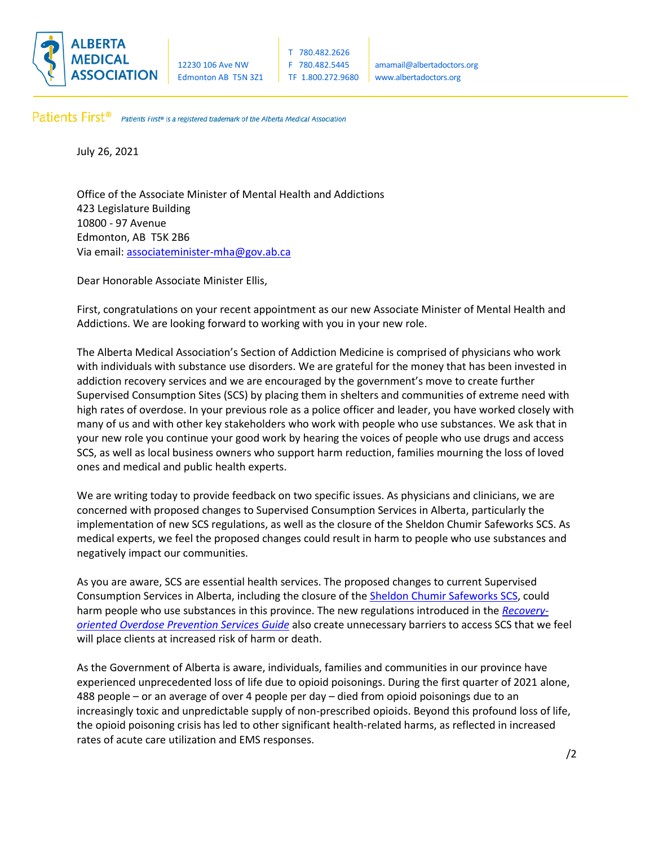

Patients First® Patients First® is a registered trademark of the Alberta Medical Association.

July 26, 2021

Office of the Associate Minister of Mental Health and Addictions 423 Legislature Building 10800 - 97 Avenue Edmonton, AB T5K 2B6 Via email[: associateminister-mha@gov.ab.ca](mailto:associateminister-mha@gov.ab.ca)

Dear Honorable Associate Minister Ellis,

First, congratulations on your recent appointment as our new Associate Minister of Mental Health and Addictions. We are looking forward to working with you in your new role.

The Alberta Medical Association's Section of Addiction Medicine is comprised of physicians who work with individuals with substance use disorders. We are grateful for the money that has been invested in addiction recovery services and we are encouraged by the government's move to create further Supervised Consumption Sites (SCS) by placing them in shelters and communities of extreme need with high rates of overdose. In your previous role as a police officer and leader, you have worked closely with many of us and with other key stakeholders who work with people who use substances. We ask that in your new role you continue your good work by hearing the voices of people who use drugs and access SCS, as well as local business owners who support harm reduction, families mourning the loss of loved ones and medical and public health experts.

We are writing today to provide feedback on two specific issues. As physicians and clinicians, we are concerned with proposed changes to Supervised Consumption Services in Alberta, particularly the implementation of new SCS regulations, as well as the closure of the Sheldon Chumir Safeworks SCS. As medical experts, we feel the proposed changes could result in harm to people who use substances and negatively impact our communities.

As you are aware, SCS are essential health services. The proposed changes to current Supervised Consumption Services in Alberta, including the closure of the [Sheldon Chumir Safeworks](https://www.albertahealthservices.ca/findhealth/Service.aspx?id=1077161&serviceAtFacilityID=1120236) SCS, could harm people who use substances in this province. The new regulations introduced in the *[Recovery](https://open.alberta.ca/dataset/e9f7801b-387d-4003-b4e5-2073cd88fd90/resource/159b4628-1a23-4a74-b8df-56e5d647d8aa/download/health-recovery-oriented-overdose-prevention-services-guide-2021.pdf)[oriented Overdose Prevention Services Guide](https://open.alberta.ca/dataset/e9f7801b-387d-4003-b4e5-2073cd88fd90/resource/159b4628-1a23-4a74-b8df-56e5d647d8aa/download/health-recovery-oriented-overdose-prevention-services-guide-2021.pdf)* also create unnecessary barriers to access SCS that we feel will place clients at increased risk of harm or death.

As the Government of Alberta is aware, individuals, families and communities in our province have experienced unprecedented loss of life due to opioid poisonings. During the first quarter of 2021 alone, 488 people – or an average of over 4 people per day – died from opioid poisonings due to an increasingly toxic and unpredictable supply of non-prescribed opioids. Beyond this profound loss of life, the opioid poisoning crisis has led to other significant health-related harms, as reflected in increased rates of acute care utilization and EMS responses.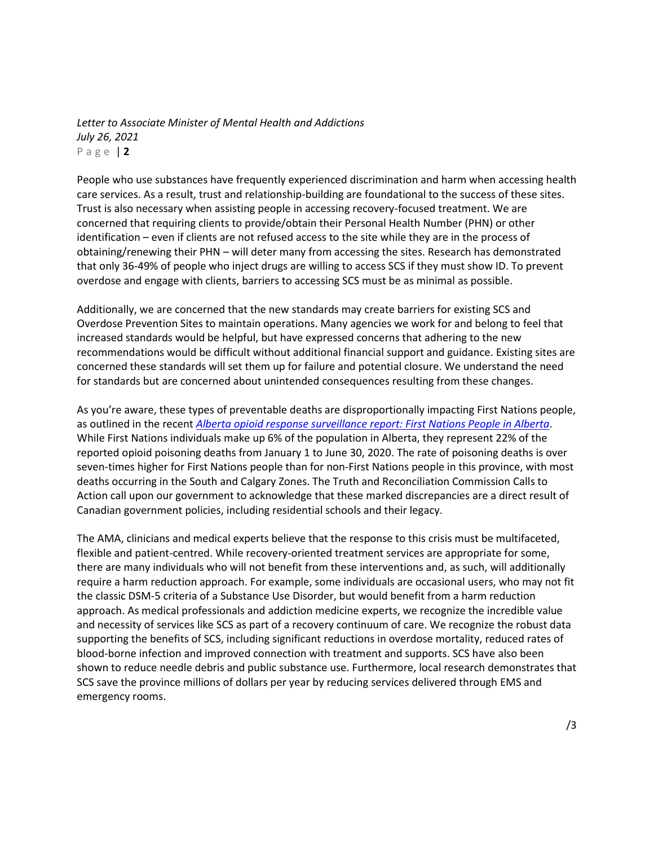*Letter to Associate Minister of Mental Health and Addictions July 26, 2021* P a g e | **2**

People who use substances have frequently experienced discrimination and harm when accessing health care services. As a result, trust and relationship-building are foundational to the success of these sites. Trust is also necessary when assisting people in accessing recovery-focused treatment. We are concerned that requiring clients to provide/obtain their Personal Health Number (PHN) or other identification – even if clients are not refused access to the site while they are in the process of obtaining/renewing their PHN – will deter many from accessing the sites. Research has demonstrated that only 36-49% of people who inject drugs are willing to access SCS if they must show ID. To prevent overdose and engage with clients, barriers to accessing SCS must be as minimal as possible.

Additionally, we are concerned that the new standards may create barriers for existing SCS and Overdose Prevention Sites to maintain operations. Many agencies we work for and belong to feel that increased standards would be helpful, but have expressed concerns that adhering to the new recommendations would be difficult without additional financial support and guidance. Existing sites are concerned these standards will set them up for failure and potential closure. We understand the need for standards but are concerned about unintended consequences resulting from these changes.

As you're aware, these types of preventable deaths are disproportionally impacting First Nations people, as outlined in the recent *[Alberta opioid response surveillance report: First Nations People in Alberta](https://open.alberta.ca/dataset/ef2d3579-499d-4fac-8cc5-94da088e3b73/resource/1d3c4477-7a5b-40a8-90f0-a802dbfd7748/download/health-alberta-opioid-response-surveillance-report-first-nations-people-2021-06.pdf)*. While First Nations individuals make up 6% of the population in Alberta, they represent 22% of the reported opioid poisoning deaths from January 1 to June 30, 2020. The rate of poisoning deaths is over seven-times higher for First Nations people than for non-First Nations people in this province, with most deaths occurring in the South and Calgary Zones. The Truth and Reconciliation Commission Calls to Action call upon our government to acknowledge that these marked discrepancies are a direct result of Canadian government policies, including residential schools and their legacy.

The AMA, clinicians and medical experts believe that the response to this crisis must be multifaceted, flexible and patient-centred. While recovery-oriented treatment services are appropriate for some, there are many individuals who will not benefit from these interventions and, as such, will additionally require a harm reduction approach. For example, some individuals are occasional users, who may not fit the classic DSM-5 criteria of a Substance Use Disorder, but would benefit from a harm reduction approach. As medical professionals and addiction medicine experts, we recognize the incredible value and necessity of services like SCS as part of a recovery continuum of care. We recognize the robust data supporting the benefits of SCS, including significant reductions in overdose mortality, reduced rates of blood-borne infection and improved connection with treatment and supports. SCS have also been shown to reduce needle debris and public substance use. Furthermore, local research demonstrates that SCS save the province millions of dollars per year by reducing services delivered through EMS and emergency rooms.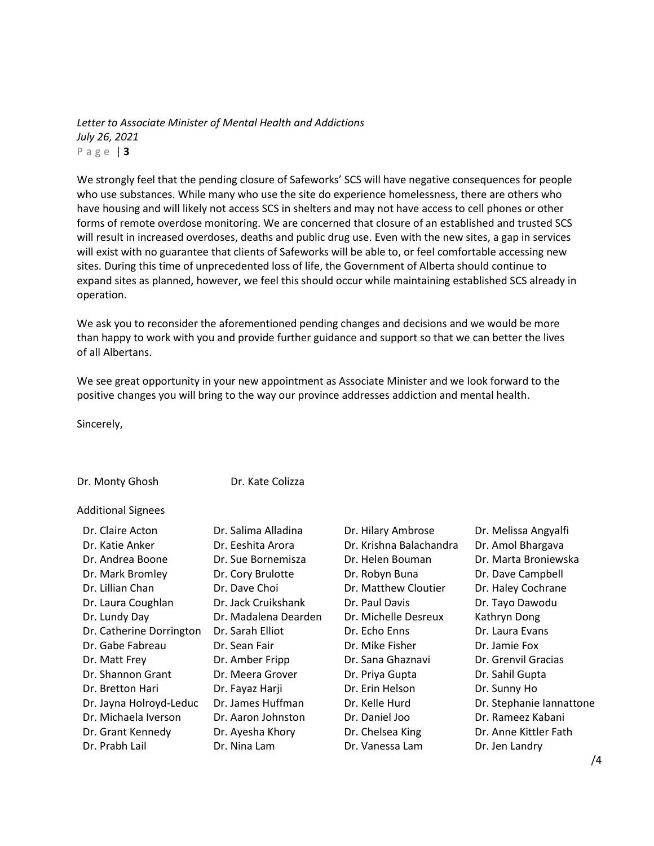*Letter to Associate Minister of Mental Health and Addictions July 26, 2021* P a g e | **3**

We strongly feel that the pending closure of Safeworks' SCS will have negative consequences for people who use substances. While many who use the site do experience homelessness, there are others who have housing and will likely not access SCS in shelters and may not have access to cell phones or other forms of remote overdose monitoring. We are concerned that closure of an established and trusted SCS will result in increased overdoses, deaths and public drug use. Even with the new sites, a gap in services will exist with no guarantee that clients of Safeworks will be able to, or feel comfortable accessing new sites. During this time of unprecedented loss of life, the Government of Alberta should continue to expand sites as planned, however, we feel this should occur while maintaining established SCS already in operation.

We ask you to reconsider the aforementioned pending changes and decisions and we would be more than happy to work with you and provide further guidance and support so that we can better the lives of all Albertans.

We see great opportunity in your new appointment as Associate Minister and we look forward to the positive changes you will bring to the way our province addresses addiction and mental health.

Sincerely,

Dr. Monty Ghosh Dr. Kate Colizza

Additional Signees

| Dr. Claire Acton         | Dr. Salima Alladina  |
|--------------------------|----------------------|
| Dr. Katie Anker          | Dr. Eeshita Arora    |
| Dr. Andrea Boone         | Dr. Sue Bornemisza   |
| Dr. Mark Bromley         | Dr. Cory Brulotte    |
| Dr. Lillian Chan         | Dr. Dave Choi        |
| Dr. Laura Coughlan       | Dr. Jack Cruikshank  |
| Dr. Lundy Day            | Dr. Madalena Dearden |
| Dr. Catherine Dorrington | Dr. Sarah Elliot     |
| Dr. Gabe Fabreau         | Dr. Sean Fair        |
| Dr. Matt Frey            | Dr. Amber Fripp      |
| Dr. Shannon Grant        | Dr. Meera Grover     |
| Dr. Bretton Hari         | Dr. Fayaz Harji      |
| Dr. Jayna Holroyd-Leduc  | Dr. James Huffman    |
| Dr. Michaela Iverson     | Dr. Aaron Johnston   |
| Dr. Grant Kennedy        | Dr. Ayesha Khory     |
| Dr. Prabh Lail           | Dr. Nina Lam         |
|                          |                      |

Dr. Hilary Ambrose Dr. Melissa Angyalfi Dr. Krishna Balachandra Dr. Amol Bhargava Dr. Helen Bouman Dr. Marta Broniewska Dr. Robyn Buna Dr. Dave Campbell Dr. Matthew Cloutier Dr. Haley Cochrane Dr. Paul Davis **Dr. Tayo Dawodu** Dr. Michelle Desreux Kathryn Dong Dr. Echo Enns Dr. Laura Evans Dr. Mike Fisher Dr. Jamie Fox Dr. Sana Ghaznavi Dr. Grenvil Gracias Dr. Priya Gupta Dr. Sahil Gupta Dr. Erin Helson Dr. Sunny Ho Dr. Daniel Joo Dr. Rameez Kabani Dr. Chelsea King Dr. Anne Kittler Fath

Dr. Kelle Hurd Dr. Stephanie Iannattone Dr. Vanessa Lam Dr. Jen Landry